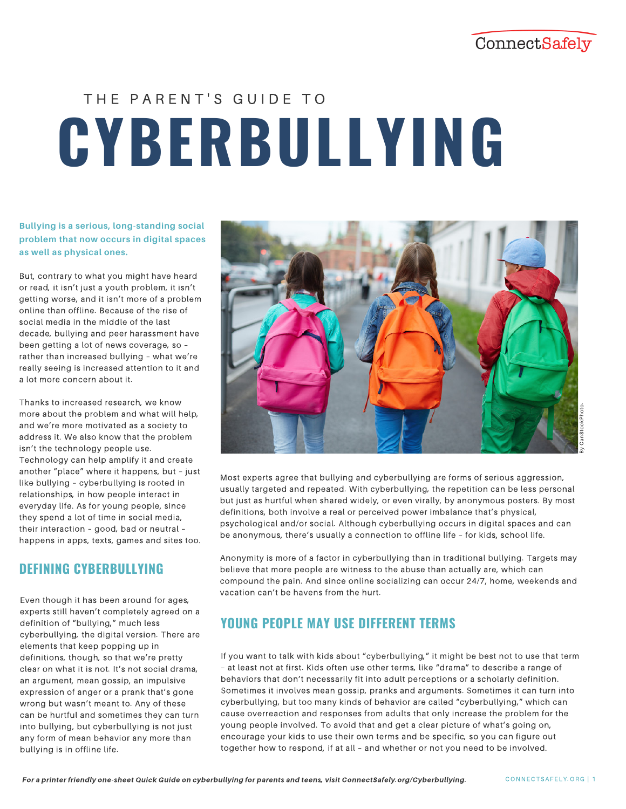## ConnectSafely

# **CYBERBULLYING** THE PARENT'S GUIDE TO

**Bullying is a serious, long-standing social problem that now occurs in digital spaces as well as physical ones.** 

But, contrary to what you might have heard or read, it isn't just a youth problem, it isn't getting worse, and it isn't more of a problem online than offline. Because of the rise of social media in the middle of the last decade, bullying and peer harassment have been getting a lot of news coverage, so – rather than increased bullying – what we're really seeing is increased attention to it and a lot more concern about it.

Thanks to increased research, we know more about the problem and what will help, and we're more motivated as a society to address it. We also know that the problem isn't the technology people use. Technology can help amplify it and create another "place" where it happens, but – just like bullying – cyberbullying is rooted in relationships, in how people interact in everyday life. As for young people, since they spend a lot of time in social media, their interaction – good, bad or neutral – happens in apps, texts, games and sites too.

## **DEFINING CYBERBULLYING**

Even though it has been around for ages, experts still haven't completely agreed on a definition of "bullying," much less cyberbullying, the digital version. There are elements that keep popping up in definitions, though, so that we're pretty clear on what it is not. It's not social drama, an argument, mean gossip, an impulsive expression of anger or a prank that's gone wrong but wasn't meant to. Any of these can be hurtful and sometimes they can turn into bullying, but cyberbullying is not just any form of mean behavior any more than bullying is in offline life.



Most experts agree that bullying and cyberbullying are forms of serious aggression, usually targeted and repeated. With cyberbullying, the repetition can be less personal but just as hurtful when shared widely, or even virally, by anonymous posters. By most definitions, both involve a real or perceived power imbalance that's physical, psychological and/or social. Although cyberbullying occurs in digital spaces and can be anonymous, there's usually a connection to offline life – for kids, school life.

Anonymity is more of a factor in cyberbullying than in traditional bullying. Targets may believe that more people are witness to the abuse than actually are, which can compound the pain. And since online socializing can occur 24/7, home, weekends and vacation can't be havens from the hurt.

## **YOUNG PEOPLE MAY USE DIFFERENT TERMS**

If you want to talk with kids about "cyberbullying," it might be best not to use that term – at least not at first. Kids often use other terms, like "drama" to describe a range of behaviors that don't necessarily fit into adult perceptions or a scholarly definition. Sometimes it involves mean gossip, pranks and arguments. Sometimes it can turn into cyberbullying, but too many kinds of behavior are called "cyberbullying," which can cause overreaction and responses from adults that only increase the problem for the young people involved. To avoid that and get a clear picture of what's going on, encourage your kids to use their own terms and be specific, so you can figure out together how to respond, if at all – and whether or not you need to be involved.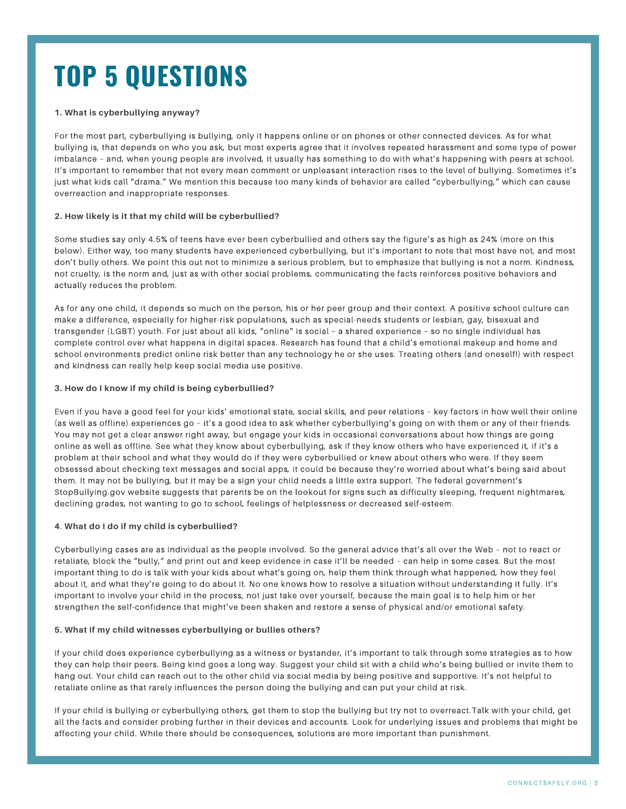## **TOP 5 QUESTIONS**

#### **1. What is cyberbullying anyway?**

For the most part, cyberbullying is bullying, only it happens online or on phones or other connected devices. As for what bullying is, that depends on who you ask, but most experts agree that it involves repeated harassment and some type of power imbalance – and, when young people are involved, it usually has something to do with what's happening with peers at school. It's important to remember that not every mean comment or unpleasant interaction rises to the level of bullying. Sometimes it's just what kids call "drama." We mention this because too many kinds of behavior are called "cyberbullying," which can cause overreaction and inappropriate responses.

#### **2. How likely is it that my child will be cyberbullied?**

Some studies say only 4.5% of teens have ever been cyberbullied and others say the figure's as high as 24% (more on this below). Either way, too many students have experienced cyberbullying, but it's important to note that most have not, and most don't bully others. We point this out not to minimize a serious problem, but to emphasize that bullying is not a norm. Kindness, not cruelty, is the norm and, just as with other social problems, communicating the facts reinforces positive behaviors and actually reduces the problem.

As for any one child, it depends so much on the person, his or her peer group and their context. A positive school culture can make a difference, especially for higher-risk populations, such as special-needs students or lesbian, gay, bisexual and transgender (LGBT) youth. For just about all kids, "online" is social – a shared experience – so no single individual has complete control over what happens in digital spaces. Research has found that a child's emotional makeup and home and school environments predict online risk better than any technology he or she uses. Treating others (and oneself!) with respect and kindness can really help keep social media use positive.

#### **3. How do I know if my child is being cyberbullied?**

Even if you have a good feel for your kids' emotional state, social skills, and peer relations – key factors in how well their online (as well as offline) experiences go – it's a good idea to ask whether cyberbullying's going on with them or any of their friends. You may not get a clear answer right away, but engage your kids in occasional conversations about how things are going online as well as offline. See what they know about cyberbullying, ask if they know others who have experienced it, if it's a problem at their school and what they would do if they were cyberbullied or knew about others who were. If they seem obsessed about checking text messages and social apps, it could be because they're worried about what's being said about them. It may not be bullying, but it may be a sign your child needs a little extra support. The federal government's StopBullying.gov website suggests that parents be on the lookout for signs such as difficulty sleeping, frequent nightmares, declining grades, not wanting to go to school, feelings of helplessness or decreased self-esteem.

#### **4**. **What do I do if my child is cyberbullied?**

Cyberbullying cases are as individual as the people involved. So the general advice that's all over the Web – not to react or retaliate, block the "bully," and print out and keep evidence in case it'll be needed – can help in some cases. But the most important thing to do is talk with your kids about what's going on, help them think through what happened, how they feel about it, and what they're going to do about it. No one knows how to resolve a situation without understanding it fully. It's important to involve your child in the process, not just take over yourself, because the main goal is to help him or her strengthen the self-confidence that might've been shaken and restore a sense of physical and/or emotional safety.

#### **5. What if my child witnesses cyberbullying or bullies others?**

If your child does experience cyberbullying as a witness or bystander, it's important to talk through some strategies as to how they can help their peers. Being kind goes a long way. Suggest your child sit with a child who's being bullied or invite them to hang out. Your child can reach out to the other child via social media by being positive and supportive. It's not helpful to retaliate online as that rarely influences the person doing the bullying and can put your child at risk.

If your child is bullying or cyberbullying others, get them to stop the bullying but try not to overreact.Talk with your child, get all the facts and consider probing further in their devices and accounts. Look for underlying issues and problems that might be affecting your child. While there should be consequences, solutions are more important than punishment.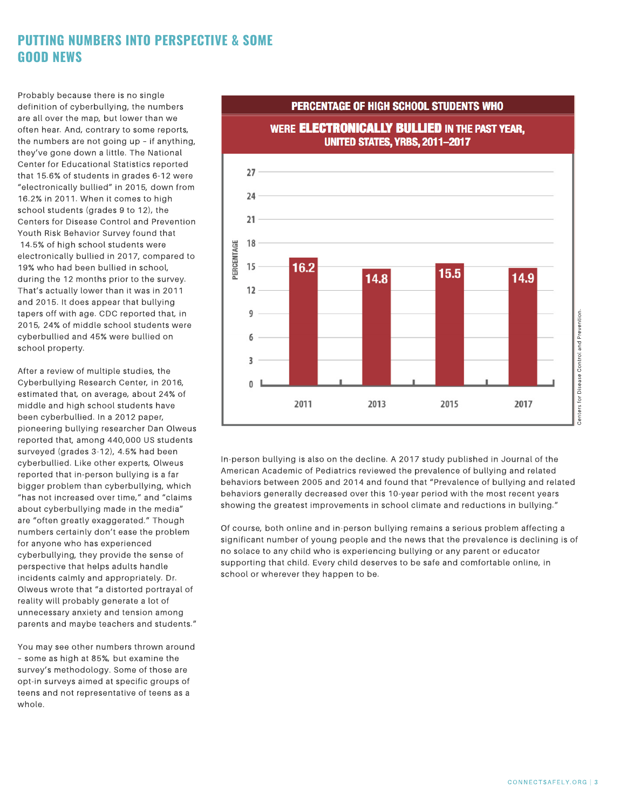## **PUTTING NUMBERS INTO PERSPECTIVE & SOME GOOD NEWS**

Probably because there is no single definition of cyberbullying, the numbers are all over the map, but lower than we often hear. And, contrary to some reports, the numbers are not going up – if anything, they've gone down a little. The National Center for Educational Statistics reported that 15.6% of students in grades 6-12 were "electronically bullied" in 2015, down from 16.2% in 2011. When it comes to high school students (grades 9 to 12), the Centers for Disease Control and Prevention Youth Risk Behavior Survey found that 14.5% of high school students were electronically bullied in 2017, compared to 19% who had been bullied in school, during the 12 months prior to the survey. That's actually lower than it was in 2011 and 2015. It does appear that bullying tapers off with age. CDC reported that, in 2015, 24% of middle school students were cyberbullied and 45% were bullied on school property.

After a review of multiple studies, the Cyberbullying Research Center, in 2016, estimated that, on average, about 24% of middle and high school students have been cyberbullied. In a 2012 paper, pioneering bullying researcher Dan Olweus reported that, among 440,000 US students surveyed (grades 3-12), 4.5% had been cyberbullied. Like other experts, Olweus reported that in-person bullying is a far bigger problem than cyberbullying, which "has not increased over time," and "claims about cyberbullying made in the media" are "often greatly exaggerated." Though numbers certainly don't ease the problem for anyone who has experienced cyberbullying, they provide the sense of perspective that helps adults handle incidents calmly and appropriately. Dr. Olweus wrote that "a distorted portrayal of reality will probably generate a lot of unnecessary anxiety and tension among parents and maybe teachers and students."

You may see other numbers thrown around – some as high at 85%, but examine the survey's methodology. Some of those are opt-in surveys aimed at specific groups of teens and not representative of teens as a whole.



PERCENTAGE OF HIGH SCHOOL STUDENTS WHO

In-person bullying is also on the decline. A 2017 study published in Journal of the American Academic of Pediatrics reviewed the prevalence of bullying and related behaviors between 2005 and 2014 and found that "Prevalence of bullying and related behaviors generally decreased over this 10-year period with the most recent years showing the greatest improvements in school climate and reductions in bullying."

Of course, both online and in-person bullying remains a serious problem affecting a significant number of young people and the news that the prevalence is declining is of no solace to any child who is experiencing bullying or any parent or educator supporting that child. Every child deserves to be safe and comfortable online, in school or wherever they happen to be.

Centers for Disease Control and Prevention.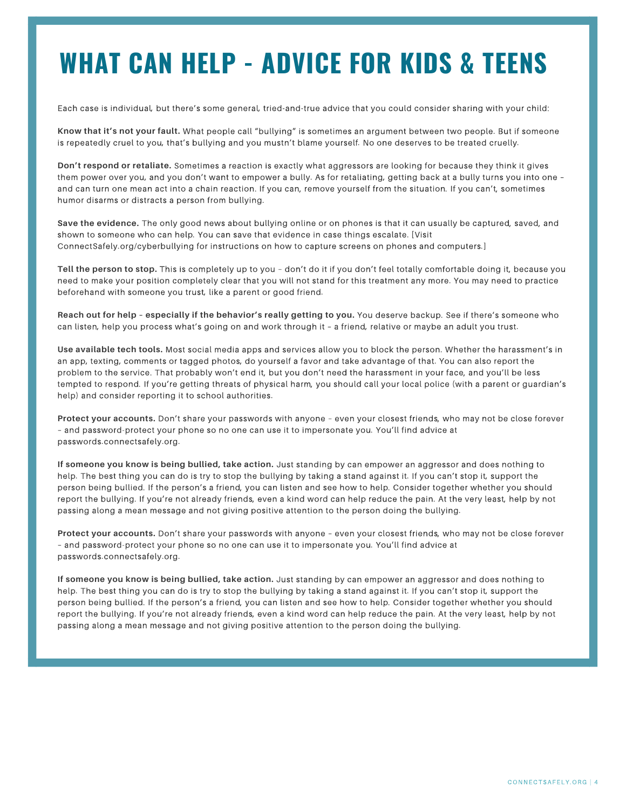## **WHAT CAN HELP - ADVICE FOR KIDS & TEENS**

Each case is individual, but there's some general, tried-and-true advice that you could consider sharing with your child:

**Know that it's not your fault.** What people call "bullying" is sometimes an argument between two people. But if someone is repeatedly cruel to you, that's bullying and you mustn't blame yourself. No one deserves to be treated cruelly.

**Don't respond or retaliate.** Sometimes a reaction is exactly what aggressors are looking for because they think it gives them power over you, and you don't want to empower a bully. As for retaliating, getting back at a bully turns you into one – and can turn one mean act into a chain reaction. If you can, remove yourself from the situation. If you can't, sometimes humor disarms or distracts a person from bullying.

**Save the evidence.** The only good news about bullying online or on phones is that it can usually be captured, saved, and shown to someone who can help. You can save that evidence in case things escalate. [Visit ConnectSafely.org/cyberbullying for instructions on how to capture screens on phones and computers.]

**Tell the person to stop.** This is completely up to you – don't do it if you don't feel totally comfortable doing it, because you need to make your position completely clear that you will not stand for this treatment any more. You may need to practice beforehand with someone you trust, like a parent or good friend.

**Reach out for help – especially if the behavior's really getting to you.** You deserve backup. See if there's someone who can listen, help you process what's going on and work through it – a friend, relative or maybe an adult you trust.

**Use available tech tools.** Most social media apps and services allow you to block the person. Whether the harassment's in an app, texting, comments or tagged photos, do yourself a favor and take advantage of that. You can also report the problem to the service. That probably won't end it, but you don't need the harassment in your face, and you'll be less tempted to respond. If you're getting threats of physical harm, you should call your local police (with a parent or guardian's help) and consider reporting it to school authorities.

**Protect your accounts.** Don't share your passwords with anyone – even your closest friends, who may not be close forever – and password-protect your phone so no one can use it to impersonate you. You'll find advice at passwords.connectsafely.org.

**If someone you know is being bullied, take action.** Just standing by can empower an aggressor and does nothing to help. The best thing you can do is try to stop the bullying by taking a stand against it. If you can't stop it, support the person being bullied. If the person's a friend, you can listen and see how to help. Consider together whether you should report the bullying. If you're not already friends, even a kind word can help reduce the pain. At the very least, help by not passing along a mean message and not giving positive attention to the person doing the bullying.

**Protect your accounts.** Don't share your passwords with anyone – even your closest friends, who may not be close forever – and password-protect your phone so no one can use it to impersonate you. You'll find advice at passwords.connectsafely.org.

**If someone you know is being bullied, take action.** Just standing by can empower an aggressor and does nothing to help. The best thing you can do is try to stop the bullying by taking a stand against it. If you can't stop it, support the person being bullied. If the person's a friend, you can listen and see how to help. Consider together whether you should report the bullying. If you're not already friends, even a kind word can help reduce the pain. At the very least, help by not passing along a mean message and not giving positive attention to the person doing the bullying.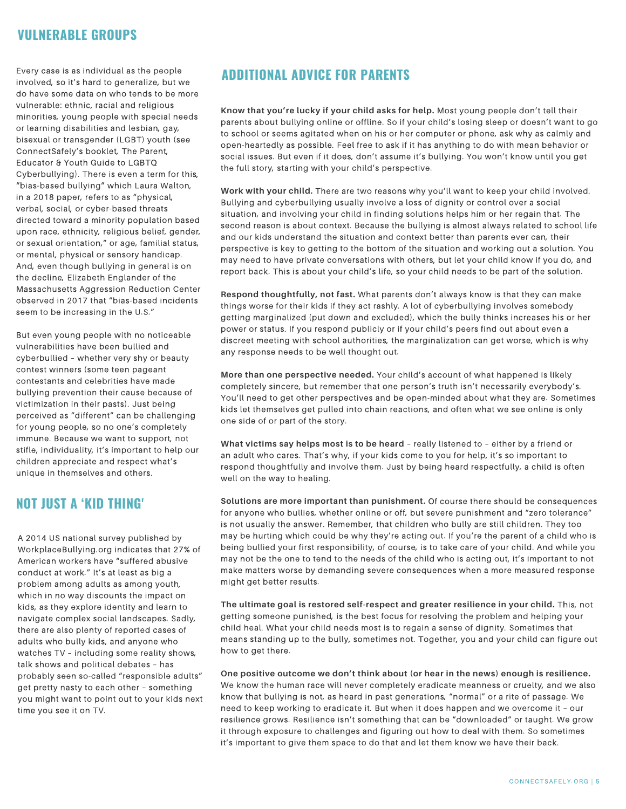## **VULNERABLE GROUPS**

Every case is as individual as the people involved, so it's hard to generalize, but we do have some data on who tends to be more vulnerable: ethnic, racial and religious minorities, young people with special needs or learning disabilities and lesbian, gay, bisexual or transgender (LGBT) youth (see ConnectSafely's booklet, The Parent, Educator & Youth Guide to LGBTQ Cyberbullying). There is even a term for this, "bias-based bullying" which Laura Walton, in a 2018 paper, refers to as "physical, verbal, social, or cyber-based threats directed toward a minority population based upon race, ethnicity, religious belief, gender, or sexual orientation," or age, familial status, or mental, physical or sensory handicap. And, even though bullying in general is on the decline, Elizabeth Englander of the Massachusetts Aggression Reduction Center observed in 2017 that "bias-based incidents seem to be increasing in the U.S."

But even young people with no noticeable vulnerabilities have been bullied and cyberbullied – whether very shy or beauty contest winners (some teen pageant contestants and celebrities have made bullying prevention their cause because of victimization in their pasts). Just being perceived as "different" can be challenging for young people, so no one's completely immune. Because we want to support, not stifle, individuality, it's important to help our children appreciate and respect what's unique in themselves and others.

## **NOT JUST A 'KID THING'**

A 2014 US national survey published by WorkplaceBullying.org indicates that 27% of American workers have "suffered abusive conduct at work." It's at least as big a problem among adults as among youth, which in no way discounts the impact on kids, as they explore identity and learn to navigate complex social landscapes. Sadly, there are also plenty of reported cases of adults who bully kids, and anyone who watches TV – including some reality shows, talk shows and political debates – has probably seen so-called "responsible adults" get pretty nasty to each other – something you might want to point out to your kids next time you see it on TV.

## **ADDITIONAL ADVICE FOR PARENTS**

**Know that you're lucky if your child asks for help.** Most young people don't tell their parents about bullying online or offline. So if your child's losing sleep or doesn't want to go to school or seems agitated when on his or her computer or phone, ask why as calmly and open-heartedly as possible. Feel free to ask if it has anything to do with mean behavior or social issues. But even if it does, don't assume it's bullying. You won't know until you get the full story, starting with your child's perspective.

**Work with your child.** There are two reasons why you'll want to keep your child involved. Bullying and cyberbullying usually involve a loss of dignity or control over a social situation, and involving your child in finding solutions helps him or her regain that. The second reason is about context. Because the bullying is almost always related to school life and our kids understand the situation and context better than parents ever can, their perspective is key to getting to the bottom of the situation and working out a solution. You may need to have private conversations with others, but let your child know if you do, and report back. This is about your child's life, so your child needs to be part of the solution.

**Respond thoughtfully, not fast.** What parents don't always know is that they can make things worse for their kids if they act rashly. A lot of cyberbullying involves somebody getting marginalized (put down and excluded), which the bully thinks increases his or her power or status. If you respond publicly or if your child's peers find out about even a discreet meeting with school authorities, the marginalization can get worse, which is why any response needs to be well thought out.

**More than one perspective needed.** Your child's account of what happened is likely completely sincere, but remember that one person's truth isn't necessarily everybody's. You'll need to get other perspectives and be open-minded about what they are. Sometimes kids let themselves get pulled into chain reactions, and often what we see online is only one side of or part of the story.

**What victims say helps most is to be heard** – really listened to – either by a friend or an adult who cares. That's why, if your kids come to you for help, it's so important to respond thoughtfully and involve them. Just by being heard respectfully, a child is often well on the way to healing.

**Solutions are more important than punishment.** Of course there should be consequences for anyone who bullies, whether online or off, but severe punishment and "zero tolerance" is not usually the answer. Remember, that children who bully are still children. They too may be hurting which could be why they're acting out. If you're the parent of a child who is being bullied your first responsibility, of course, is to take care of your child. And while you may not be the one to tend to the needs of the child who is acting out, it's important to not make matters worse by demanding severe consequences when a more measured response might get better results.

**The ultimate goal is restored self-respect and greater resilience in your child.** This, not getting someone punished, is the best focus for resolving the problem and helping your child heal. What your child needs most is to regain a sense of dignity. Sometimes that means standing up to the bully, sometimes not. Together, you and your child can figure out how to get there.

**One positive outcome we don't think about (or hear in the news) enough is resilience.** We know the human race will never completely eradicate meanness or cruelty, and we also know that bullying is not, as heard in past generations, "normal" or a rite of passage. We need to keep working to eradicate it. But when it does happen and we overcome it – our resilience grows. Resilience isn't something that can be "downloaded" or taught. We grow it through exposure to challenges and figuring out how to deal with them. So sometimes it's important to give them space to do that and let them know we have their back.